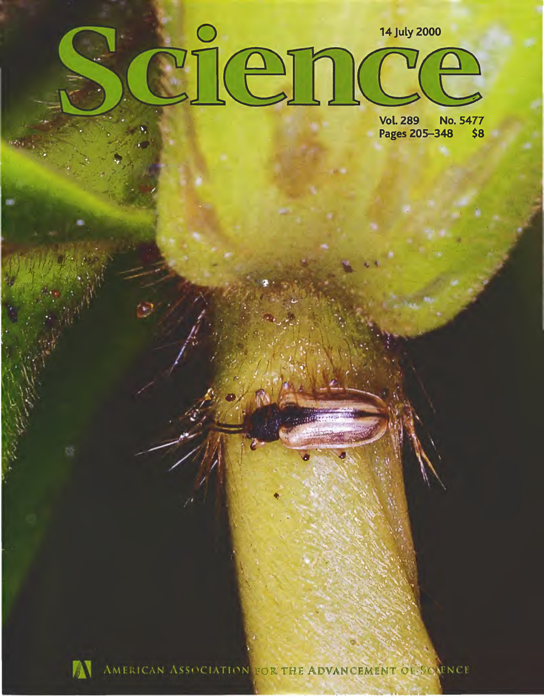# $\Omega$ **14 July 2000** en

**Vol. 289 No. 5477** Pages 205-348 \$8



AMERICAN ASSOCIATION FOR THE ADVANCEMENT OF SCAFNCE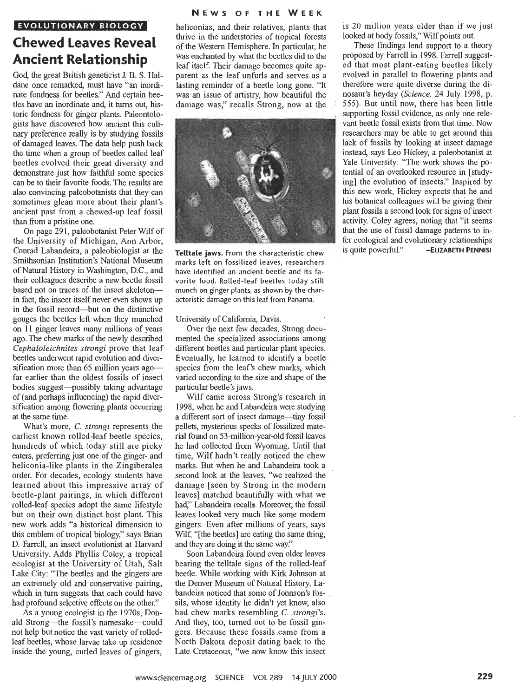#### **NEWS OF THE WEEK**

### **EVOLUTIONARY BIOLOGY Chewed Leaves Reveal Ancient Relationship**

God, the great British geneticist J. B. S. Haldane once remarked, must have "an inordinate fondness for beetles." And certain beetles have an inordinate and, it turns out, historic fondness for ginger plants. Paleontologists have discovered how ancient this culinary preference really is by studying fossils of damaged leaves. The data help push back the time when a group of beetles called leaf beetles evolved their great diversity and demonstrate just how faithful some species can be to their favorite foods. The results are also convincing paleobotanists that they can sometimes glean more about their plant's ancient past from a chewed-up leaf fossil than from a pristine one.

On page 291, paleobotanist Peter Wilf of the University of Michigan, Ann Arbor, Conrad Labandeira, a paleobiologist at the Smithsonian Institution's National Museum of Natural History in Washington, D.C., and their colleagues describe a new beetle fossil based not on traces of the insect skeletonin fact, the insect itself never even shows up in the fossil record—but on the distinctive gouges the beetles left when they munched on <sup>11</sup> ginger leaves many millions of years ago. The chew marks of the newly described *Cephaloleichnites strongi* prove that leaf beetles underwent rapid evolution and diversification more than  $65$  million years ago $$ far earlier than the oldest fossils of insect bodies suggest-possibly taking advantage of (and perhaps influencing) the rapid diversification among flowering plants occurring at the same time.

What's more, *C. strongi* represents the earliest known rolled-leaf beetle species, hundreds of which today still are picky eaters, preferring just one of the ginger- and heliconia-like plants in the Zingiberales order. For decades, ecology students have learned about this impressive array of beetle-plant pairings, in which different rolled-leaf species adopt the same lifestyle but on their own distinct host plant. This new work adds "a historical dimension to this emblem of tropical biology," says Brian D. Farrell, an insect evolutionist at Harvard University. Adds Phyllis Coley, a tropical ecologist at the University of Utah, Salt Lake City: "The beetles and the gingers are an extremely old and conservative pairing, which in turn suggests that each could have had profound selective effects on the other."

As a young ecologist in the 1970s, Donald Strong-the fossil's namesake-could not help but notice the vast variety of rolledleaf beetles, whose larvae take up residence inside the young, curled leaves of gingers. heliconias, and their relatives, plants that thrive in the understories of tropical forests of the Western Hemisphere. In particular, he was enchanted by what the beetles did to the leaf itself. Their damage becomes quite apparent as the leaf unfurls and serves as a lasting reminder of a beetle long gone. "It was an issue of artistry, how beautiful the damage was," recalls Strong, now at the



**Telltale jaws.** From the characteristic chew marks left on fossilized (eaves, researchers have identified an ancient beetle and its favorite food. Rolled-leaf beetles today still munch on ginger plants, as shown by the characteristic damage on this leaf from Panama.

University of California, Davis.

Over the next few decades. Strong documented the specialized associations among different beetles and particular plant species. Eventually, he learned to identify a beetle species from the leaf's chew marks, which varied according to the size and shape of the particular beetle's jaws.

Wilf came across Strong's research in 1998, when he and Labandeira were studying a different sort of insect damage—tiny fossil pellets, mysterious specks of fossilized material found on 53-million-year-old fossil leaves he had collected from Wyoming. Until that time, Wilf hadn't really noticed the chew marks. But when he and Labandeira took a second look at the leaves, "we realized the damage [seen by Strong in the modern leaves] matched beautifully with what we had." Labandeira recalls. Moreover, the fossil leaves looked very much like some modem gingers. Even after millions of years, says Wilf, "[the beetles] are eating the same thing, and they are doing it the same way."

Soon Labandeira found even older leaves bearing the telltale signs of the rolled-leaf beetle. While working with Kirk Johnson at the Denver Museum of Natural History, Labandeira noticed that some of Johnson's fossils, whose identity he didn't yet know, also had chew marks resembling *C. strongi's.* And they, too, turned out to be fossil gingers. Because these fossils came from a North Dakota deposit dating back to the Late Cretaceous, "we now know this insect is 20 million years older than if we just looked at body fossils," Wilf points out.

These findings lend support to a theory proposed by Farrell in 1998. Farrell suggested that most plant-eating beetles likely evolved in parallel to flowering plants and therefore were quite diverse during the dinosaur's heyday *(Science,* 24 July 1998, p. 555). But until now, there has been little supporting fossil evidence, as only one relevant beetle fossil exists from that time. Now researchers may be able to get around this lack of fossils by looking at insect damage instead, says Leo Hickey, a paleobotanist at Yale University; "The work shows the potential of an overlooked resource in [studying] the evolution of insects." Inspired by this new work, Hickey expects that he and his botanical colleagues will be giving their plant fossils a second look for signs of insect activity. Coley agrees, noting that "it seems that the use of fossil damage patterns to infer ecological and evolutionary relationships is quite powerful." -ELIZABETH PENNISI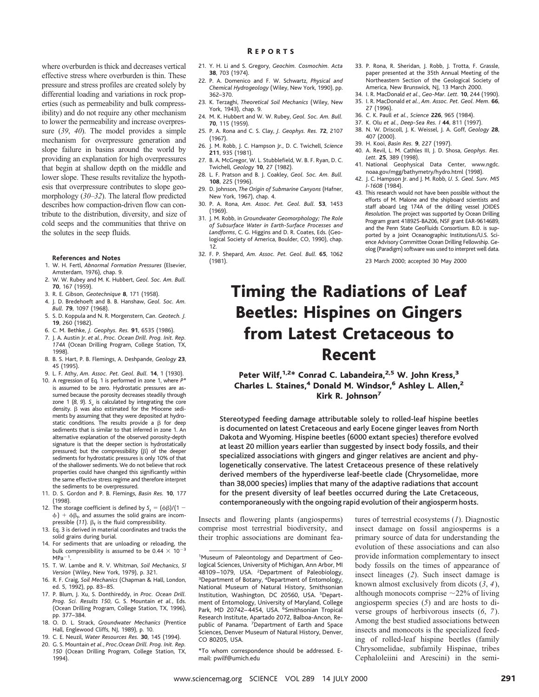where overburden is thick and decreases vertical effective stress where overburden is thin. These pressure and stress profiles are created solely by differential loading and variations in rock properties (such as permeability and bulk compressibility) and do not require any other mechanism to lower the permeability and increase overpressure (*39*, *40*). The model provides a simple mechanism for overpressure generation and slope failure in basins around the world by providing an explanation for high overpressures that begin at shallow depth on the middle and lower slope. These results revitalize the hypothesis that overpressure contributes to slope geomorphology (*30*–*32*). The lateral flow predicted describes how compaction-driven flow can contribute to the distribution, diversity, and size of cold seeps and the communities that thrive on the solutes in the seep fluids.

#### **References and Notes**

- 1. W. H. Fertl, *Abnormal Formation Pressures* (Elsevier, Amsterdam, 1976), chap. 9.
- 2. W. W. Rubey and M. K. Hubbert, *Geol. Soc. Am. Bull.* **70**, 167 (1959).
- 3. R. E. Gibson, *Geotechnique* **8**, 171 (1958).
- 4. J. D. Bredehoeft and B. B. Hanshaw, *Geol. Soc. Am.*
- *Bull.* **79**, 1097 (1968). 5. S. D. Koppula and N. R. Morgenstern, *Can. Geotech. J.* **19**, 260 (1982).
- 6. C. M. Bethke, *J. Geophys. Res.* **91**, 6535 (1986).
- 7. J. A. Austin Jr. *et al.*, *Proc. Ocean Drill. Prog. Init. Rep. 174A* (Ocean Drilling Program, College Station, TX, 1998).
- 8. B. S. Hart, P. B. Flemings, A. Deshpande, *Geology* **23**, 45 (1995).
- 9. L. F. Athy, *Am. Assoc. Pet. Geol. Bull.* **14**, 1 (1930).
- 10. A regression of Eq. 1 is performed in zone 1, where *P\** is assumed to be zero. Hydrostatic pressures are assumed because the porosity decreases steadily through zone 1 (8, 9).  $S_v$  is calculated by integrating the core density.  $\beta$  was also estimated for the Miocene sediments by assuming that they were deposited at hydrostatic conditions. The results provide a  $\beta$  for deep sediments that is similar to that inferred in zone 1. An alternative explanation of the observed porosity-depth signature is that the deeper section is hydrostatically pressured; but the compressibility  $(\beta)$  of the deeper sediments for hydrostatic pressures is only 10% of that of the shallower sediments. We do not believe that rock properties could have changed this significantly within the same effective stress regime and therefore interpret the sediments to be overpressured.
- 11. D. S. Gordon and P. B. Flemings, *Basin Res.* **10**, 177 (1998).
- 12. The storage coefficient is defined by  $S_t = (\phi \beta)/(1 \beta)$  $f(\phi)$  +  $\phi\beta_{f}$ , and assumes the solid grains are incompressible (11).  $\beta_f$  is the fluid compressibility.
- 13. Eq. 3 is derived in material coordinates and tracks the solid grains during burial.
- 14. For sediments that are unloading or reloading, the bulk compressibility is assumed to be 0.44  $\times$  10<sup>-3</sup>  $MPa^{-1}$ .
- 15. T. W. Lambe and R. V. Whitman, *Soil Mechanics*, *SI Version* (Wiley, New York, 1979), p. 321.
- 16. R. F. Craig, *Soil Mechanics* (Chapman & Hall, London, ed. 5, 1992), pp. 83–85.
- 17. P. Blum, J. Xu, S. Donthireddy, in *Proc. Ocean Drill. Prog. Sci. Results 150*, G. S. Mountain *et al.*, Eds. (Ocean Drilling Program, College Station, TX, 1996), pp. 377–384.
- 18. O. D. L. Strack, *Groundwater Mechanics* (Prentice Hall, Englewood Cliffs, NJ, 1989), p. 10.
- 19. C. E. Neuzil, *Water Resources Res.* **30**, 145 (1994). 20. G. S. Mountain *et al.*, *Proc.Ocean Drill. Prog. Init. Rep. 150* (Ocean Drilling Program, College Station, TX,

1994).

- 21. Y. H. Li and S. Gregory, *Geochim. Cosmochim. Acta* **38**, 703 (1974).
- 22. P. A. Domenico and F. W. Schwartz, *Physical and Chemical Hydrogeology* (Wiley, New York, 1990), pp. 362–370.
- 23. K. Terzaghi, *Theoretical Soil Mechanics* (Wiley, New York, 1943), chap. 9.
- 24. M. K. Hubbert and W. W. Rubey, *Geol. Soc. Am. Bull.* **70**, 115 (1959).
- 25. P. A. Rona and C. S. Clay, *J. Geophys. Res.* **72**, 2107 (1967).
- 26. J. M. Robb, J. C. Hampson Jr., D. C. Twichell, *Science* **211**, 935 (1981).
- 27. B. A. McGregor, W. L. Stubblefield, W. B. F. Ryan, D. C. Twichell, *Geology* **10**, 27 (1982).
- 28. L. F. Pratson and B. J. Coakley, *Geol. Soc. Am. Bull.* **108**, 225 (1996).
- 29. D. Johnson, *The Origin of Submarine Canyons* (Hafner, New York, 1967), chap. 4.
- 30. P. A. Rona, *Am. Assoc. Pet. Geol. Bull.* **53**, 1453 (1969).
- 31. J. M. Robb, in *Groundwater Geomorphology; The Role of Subsurface Water in Earth-Surface Processes and Landforms*, C. G. Higgins and D. R. Coates, Eds. (Geological Society of America, Boulder, CO, 1990), chap. 12.
- 32. F. P. Shepard, *Am. Assoc. Pet. Geol. Bull.* **65**, 1062 (1981).
- 33. P. Rona, R. Sheridan, J. Robb, J. Trotta, F. Grassle, paper presented at the 35th Annual Meeting of the Northeastern Section of the Geological Society of America, New Brunswick, NJ, 13 March 2000.
- 34. I. R. MacDonald *et al.*, *Geo-Mar. Lett.* **10**, 244 (1990). 35. I. R. MacDonald *et al.*, *Am. Assoc. Pet. Geol. Mem.* **66**, 27 (1996).
- 36. C. K. Paull *et al.*, *Science* **226**, 965 (1984).
- 
- 37. K. Olu *et al.*, *Deep-Sea Res. I* **44**, 811 (1997). 38. N. W. Driscoll, J. K. Weissel, J. A. Goff, *Geology* **28**, 407 (2000).
- 39. H. Kooi, *Basin Res.* **9**, 227 (1997). 40. A. Revil, L. M. Cathles III, J. D. Shosa, *Geophys. Res.*
- *Lett.* **25**, 389 (1998). 41. National Geophysical Data Center, www.ngdc.
- noaa.gov/mgg/bathymetry/hydro.html (1998). 42. J. C. Hampson Jr. and J. M. Robb, *U. S. Geol. Surv. MIS I-1608* (1984).
- 43. This research would not have been possible without the efforts of M. Malone and the shipboard scientists and staff aboard Leg 174A of the drilling vessel JOIDES *Resolution*. The project was supported by Ocean Drilling Program grant 418925-BA206, NSF grant EAR-9614689, and the Penn State GeoFluids Consortium. B.D. is supported by a Joint Oceanographic Institutions/U.S. Science Advisory Committee Ocean Drilling Fellowship. Geolog (Paradigm) software was used to interpret well data.

23 March 2000; accepted 30 May 2000

## Timing the Radiations of Leaf Beetles: Hispines on Gingers from Latest Cretaceous to Recent

Peter Wilf, <sup>1,2\*</sup> Conrad C. Labandeira, <sup>2,5</sup> W. John Kress, <sup>3</sup> Charles L. Staines,<sup>4</sup> Donald M. Windsor,<sup>6</sup> Ashley L. Allen,<sup>2</sup> Kirk R. Johnson<sup>7</sup>

Stereotyped feeding damage attributable solely to rolled-leaf hispine beetles is documented on latest Cretaceous and early Eocene ginger leaves from North Dakota and Wyoming. Hispine beetles (6000 extant species) therefore evolved at least 20 million years earlier than suggested by insect body fossils, and their specialized associations with gingers and ginger relatives are ancient and phylogenetically conservative. The latest Cretaceous presence of these relatively derived members of the hyperdiverse leaf-beetle clade (Chrysomelidae, more than 38,000 species) implies that many of the adaptive radiations that account for the present diversity of leaf beetles occurred during the Late Cretaceous, contemporaneously with the ongoing rapid evolution of their angiosperm hosts.

Insects and flowering plants (angiosperms) comprise most terrestrial biodiversity, and their trophic associations are dominant fea-

1 Museum of Paleontology and Department of Geological Sciences, University of Michigan, Ann Arbor, MI 48109–1079, USA. <sup>2</sup> Department of Paleobiology,<br><sup>3</sup> Department of Botany <sup>4</sup> Department of Entomology Department of Botany, <sup>4</sup> Department of Entomology, National Museum of Natural History, Smithsonian Institution, Washington, DC 20560, USA. <sup>5</sup> Department of Entomology, University of Maryland, College Park, MD 20742-4454, USA. <sup>6</sup>Smithsonian Tropical Research Institute, Apartado 2072, Balboa-Ancon, Republic of Panama. <sup>7</sup>Department of Earth and Space Sciences, Denver Museum of Natural History, Denver, CO 80205, USA.

\*To whom correspondence should be addressed. Email: pwilf@umich.edu

tures of terrestrial ecosystems (*1*). Diagnostic insect damage on fossil angiosperms is a primary source of data for understanding the evolution of these associations and can also provide information complementary to insect body fossils on the times of appearance of insect lineages (*2*). Such insect damage is known almost exclusively from dicots (*3*, *4*), although monocots comprise  $\sim$ 22% of living angiosperm species (*5*) and are hosts to diverse groups of herbivorous insects (*6*, *7*). Among the best studied associations between insects and monocots is the specialized feeding of rolled-leaf hispine beetles (family Chrysomelidae, subfamily Hispinae, tribes Cephaloleiini and Arescini) in the semi-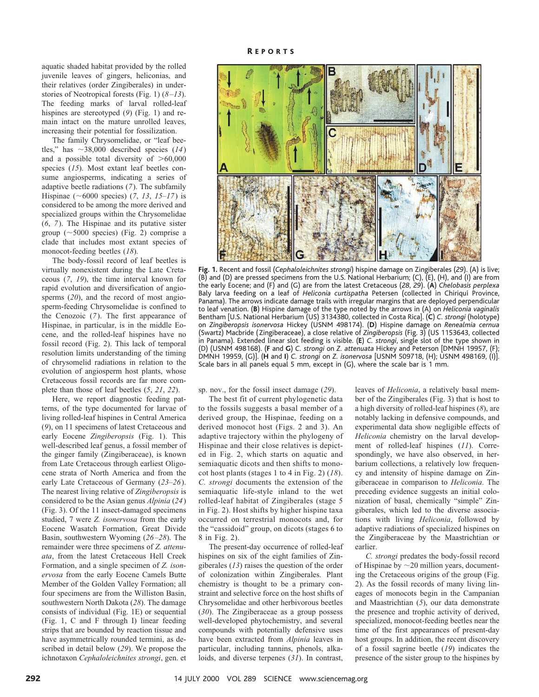aquatic shaded habitat provided by the rolled juvenile leaves of gingers, heliconias, and their relatives (order Zingiberales) in understories of Neotropical forests (Fig. 1) (*8–13*). The feeding marks of larval rolled-leaf hispines are stereotyped (*9*) (Fig. 1) and remain intact on the mature unrolled leaves, increasing their potential for fossilization.

The family Chrysomelidae, or "leaf beetles," has  $\sim$ 38,000 described species (*14*) and a possible total diversity of  $>60,000$ species (*15*). Most extant leaf beetles consume angiosperms, indicating a series of adaptive beetle radiations (*7*). The subfamily Hispinae ( $\sim$ 6000 species) (7, 13, 15–17) is considered to be among the more derived and specialized groups within the Chrysomelidae (*6*, *7*). The Hispinae and its putative sister group ( $\sim$ 5000 species) (Fig. 2) comprise a clade that includes most extant species of monocot-feeding beetles (*18*).

The body-fossil record of leaf beetles is virtually nonexistent during the Late Cretaceous (*7*, *19*), the time interval known for rapid evolution and diversification of angiosperms (*20*), and the record of most angiosperm-feeding Chrysomelidae is confined to the Cenozoic (*7*). The first appearance of Hispinae, in particular, is in the middle Eocene, and the rolled-leaf hispines have no fossil record (Fig. 2). This lack of temporal resolution limits understanding of the timing of chrysomelid radiations in relation to the evolution of angiosperm host plants, whose Cretaceous fossil records are far more complete than those of leaf beetles (*5*, *21*, *22*).

Here, we report diagnostic feeding patterns, of the type documented for larvae of living rolled-leaf hispines in Central America (*9*), on 11 specimens of latest Cretaceous and early Eocene *Zingiberopsis* (Fig. 1). This well-described leaf genus, a fossil member of the ginger family (Zingiberaceae), is known from Late Cretaceous through earliest Oligocene strata of North America and from the early Late Cretaceous of Germany (*23–26*). The nearest living relative of *Zingiberopsis* is considered to be the Asian genus *Alpinia* (*24*) (Fig. 3). Of the 11 insect-damaged specimens studied, 7 were *Z. isonervosa* from the early Eocene Wasatch Formation, Great Divide Basin, southwestern Wyoming (*26–28*). The remainder were three specimens of *Z. attenuata*, from the latest Cretaceous Hell Creek Formation, and a single specimen of *Z. isonervosa* from the early Eocene Camels Butte Member of the Golden Valley Formation; all four specimens are from the Williston Basin, southwestern North Dakota (*28*). The damage consists of individual (Fig. 1E) or sequential (Fig. 1, C and F through I) linear feeding strips that are bounded by reaction tissue and have asymmetrically rounded termini, as described in detail below (*29*). We propose the ichnotaxon *Cephaloleichnites strongi*, gen. et



**Fig. 1.** Recent and fossil (*Cephaloleichnites strongi*) hispine damage on Zingiberales (*29*). (A) is live; (B) and (D) are pressed specimens from the U.S. National Herbarium; (C), (E), (H), and (I) are from the early Eocene; and (F) and (G) are from the latest Cretaceous (*28*, *29*). (**A**) *Chelobasis perplexa* Baly larva feeding on a leaf of *Heliconia curtispatha* Petersen (collected in Chiriquı´ Province, Panama). The arrows indicate damage trails with irregular margins that are deployed perpendicular to leaf venation. (**B**) Hispine damage of the type noted by the arrows in (A) on *Heliconia vaginalis* Bentham [U.S. National Herbarium (US) 3134380, collected in Costa Rica]. (**C**) *C. strongi* (holotype) on *Zingiberopsis isonervosa* Hickey (USNM 498174). (**D**) Hispine damage on *Renealmia cernua* (Swartz) Macbride (Zingiberaceae), a close relative of *Zingiberopsis* (Fig. 3) (US 1153643, collected in Panama). Extended linear slot feeding is visible. (**E**) *C. strongi*, single slot of the type shown in (D) (USNM 498168). (**F** and **G**) *C. strongi* on *Z. attenuata* Hickey and Peterson [DMNH 19957, (F); DMNH 19959, (G)]. (**H** and **I**) *C. strongi* on *Z. isonervosa* [USNM 509718, (H); USNM 498169, (I)]. Scale bars in all panels equal 5 mm, except in (G), where the scale bar is 1 mm.

sp. nov., for the fossil insect damage (*29*).

The best fit of current phylogenetic data to the fossils suggests a basal member of a derived group, the Hispinae, feeding on a derived monocot host (Figs. 2 and 3). An adaptive trajectory within the phylogeny of Hispinae and their close relatives is depicted in Fig. 2, which starts on aquatic and semiaquatic dicots and then shifts to monocot host plants (stages 1 to 4 in Fig. 2) (*18*). *C. strongi* documents the extension of the semiaquatic life-style inland to the wet rolled-leaf habitat of Zingiberales (stage 5 in Fig. 2). Host shifts by higher hispine taxa occurred on terrestrial monocots and, for the "cassidoid" group, on dicots (stages 6 to 8 in Fig. 2).

The present-day occurrence of rolled-leaf hispines on six of the eight families of Zingiberales (*13*) raises the question of the order of colonization within Zingiberales. Plant chemistry is thought to be a primary constraint and selective force on the host shifts of Chrysomelidae and other herbivorous beetles (*30*). The Zingiberaceae as a group possess well-developed phytochemistry, and several compounds with potentially defensive uses have been extracted from *Alpinia* leaves in particular, including tannins, phenols, alkaloids, and diverse terpenes (*31*). In contrast,

leaves of *Heliconia*, a relatively basal member of the Zingiberales (Fig. 3) that is host to a high diversity of rolled-leaf hispines (*8*), are notably lacking in defensive compounds, and experimental data show negligible effects of *Heliconia* chemistry on the larval development of rolled-leaf hispines (*11*). Correspondingly, we have also observed, in herbarium collections, a relatively low frequency and intensity of hispine damage on Zingiberaceae in comparison to *Heliconia*. The preceding evidence suggests an initial colonization of basal, chemically "simple" Zingiberales, which led to the diverse associations with living *Heliconia*, followed by adaptive radiations of specialized hispines on the Zingiberaceae by the Maastrichtian or earlier.

*C. strongi* predates the body-fossil record of Hispinae by  $\sim$  20 million years, documenting the Cretaceous origins of the group (Fig. 2). As the fossil records of many living lineages of monocots begin in the Campanian and Maastrichtian (*5*), our data demonstrate the presence and trophic activity of derived, specialized, monocot-feeding beetles near the time of the first appearances of present-day host groups. In addition, the recent discovery of a fossil sagrine beetle (*19*) indicates the presence of the sister group to the hispines by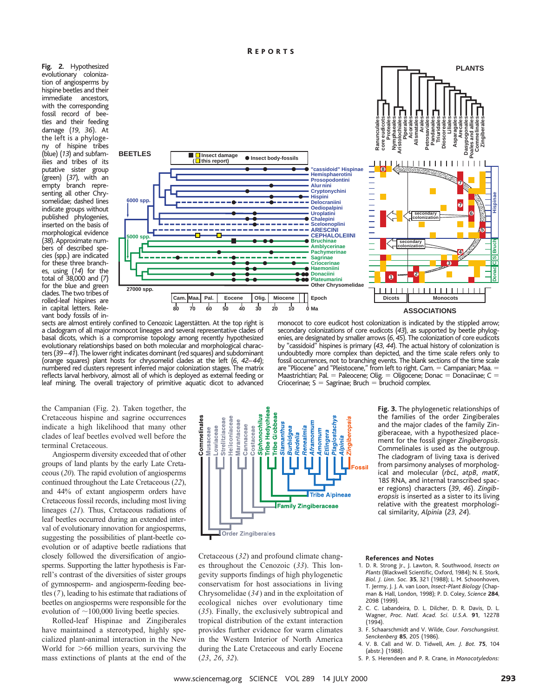**Fig. 2.** Hypothesized evolutionary colonization of angiosperms by hispine beetles and their immediate ancestors, with the corresponding fossil record of beetles and their feeding damage (*19*, *36*). At the left is a phylogeny of hispine tribes (blue) (*13*) and subfamilies and tribes of its putative sister group (green) (*37*), with an empty branch representing all other Chrysomelidae; dashed lines indicate groups without published phylogenies, inserted on the basis of morphological evidence (*38*). Approximate numbers of described species (spp.) are indicated for these three branches, using (*14*) for the total of 38,000 and (*7*) for the blue and green clades. The two tribes of rolled-leaf hispines are in capital letters. Relevant body fossils of in-



sects are almost entirely confined to Cenozoic Lagerstätten. At the top right is a cladogram of all major monocot lineages and several representative clades of basal dicots, which is a compromise topology among recently hypothesized evolutionary relationships based on both molecular and morphological characters (*39–41*). The lower right indicates dominant (red squares) and subdominant (orange squares) plant hosts for chrysomelid clades at the left (*6*, *42–44*); numbered red clusters represent inferred major colonization stages. The matrix reflects larval herbivory, almost all of which is deployed as external feeding or leaf mining. The overall trajectory of primitive aquatic dicot to advanced

monocot to core eudicot host colonization is indicated by the stippled arrow; secondary colonizations of core eudicots (*43*), as supported by beetle phylogenies, are designated by smaller arrows (*6*, *45*). The colonization of core eudicots by "cassidoid" hispines is primary (*43*, *44*). The actual history of colonization is undoubtedly more complex than depicted, and the time scale refers only to fossil occurrences, not to branching events. The blank sections of the time scale are "Pliocene" and "Pleistocene," from left to right. Cam. = Campanian; Maa. = Maastrichtian; Pal.  $=$  Paleocene; Olig.  $=$  Oligocene; Donac  $=$  Donaciinae; C  $=$ Criocerinae;  $S =$  Sagrinae; Bruch  $=$  bruchoid complex.

the Campanian (Fig. 2). Taken together, the Cretaceous hispine and sagrine occurrences indicate a high likelihood that many other clades of leaf beetles evolved well before the terminal Cretaceous.

Angiosperm diversity exceeded that of other groups of land plants by the early Late Cretaceous (*20*). The rapid evolution of angiosperms continued throughout the Late Cretaceous (*22*), and 44% of extant angiosperm orders have Cretaceous fossil records, including most living lineages (*21*). Thus, Cretaceous radiations of leaf beetles occurred during an extended interval of evolutionary innovation for angiosperms, suggesting the possibilities of plant-beetle coevolution or of adaptive beetle radiations that closely followed the diversification of angiosperms. Supporting the latter hypothesis is Farrell's contrast of the diversities of sister groups of gymnosperm- and angiosperm-feeding beetles (*7*), leading to his estimate that radiations of beetles on angiosperms were responsible for the evolution of  $\sim$ 100,000 living beetle species.

Rolled-leaf Hispinae and Zingiberales have maintained a stereotyped, highly specialized plant-animal interaction in the New World for  $>66$  million years, surviving the mass extinctions of plants at the end of the

**Tribe Hedychiea** Siphonochilus Globbeae Commelinales Strelitziaceae Heliconiaceae Marantaceae **Siamanthus** Lowiaceae Cannaceae Plagiostacl Costaceae **Renealmia Aframomu** Musaceae Burbidgea **Imomum** Etlingera Riedelia Tribe **Tribe Alpineae** Family Zingiberaceae Order Zingiberales

Cretaceous (*32*) and profound climate changes throughout the Cenozoic (*33*). This longevity supports findings of high phylogenetic conservatism for host associations in living Chrysomelidae (*34*) and in the exploitation of ecological niches over evolutionary time (*35*). Finally, the exclusively subtropical and tropical distribution of the extant interaction provides further evidence for warm climates in the Western Interior of North America during the Late Cretaceous and early Eocene (*23*, *26*, *32*).

**Fig. 3.** The phylogenetic relationships of the families of the order Zingiberales and the major clades of the family Zingiberaceae, with a hypothesized placement for the fossil ginger *Zingiberopsis*. Commelinales is used as the outgroup. The cladogram of living taxa is derived from parsimony analyses of morphological and molecular (*rbcL*, *atpB*, *matK*, 18*S* RNA, and internal transcribed spacer regions) characters (*39*, *46*). *Zingiberopsis* is inserted as a sister to its living relative with the greatest morphological similarity, *Alpinia* (*23*, *24*).

#### **References and Notes**

- 1. D. R. Strong Jr., J. Lawton, R. Southwood, *Insects on Plants* (Blackwell Scientific, Oxford, 1984); N. E. Stork, *Biol. J. Linn. Soc.* **35**, 321 (1988); L. M. Schoonhoven, T. Jermy, J. J. A. van Loon, *Insect-Plant Biology* (Chapman & Hall, London, 1998); P. D. Coley, *Science* **284**, 2098 (1999).
- 2. C. C. Labandeira, D. L. Dilcher, D. R. Davis, D. L. Wagner, *Proc. Natl. Acad. Sci. U.S.A.* **91**, 12278 (1994).
- 3. F. Schaarschmidt and V. Wilde, *Cour. Forschungsinst. Senckenberg* **85**, 205 (1986).
- 4. V. B. Call and W. D. Tidwell, *Am. J. Bot.* **75**, 104 (abstr.) (1988).
- 5. P. S. Herendeen and P. R. Crane, in *Monocotyledons:*